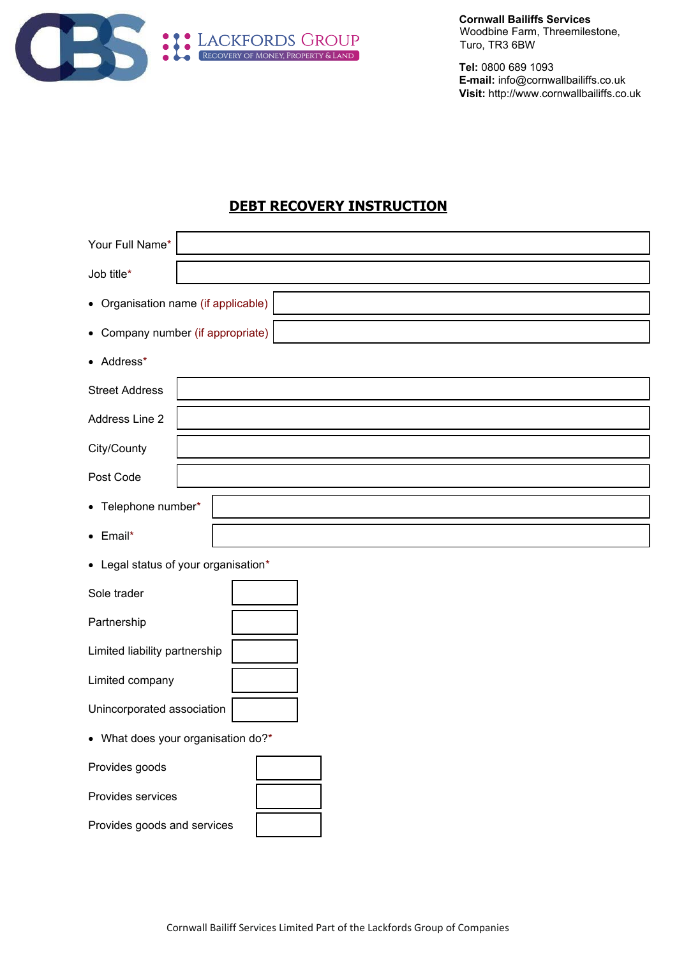

**Cornwall Bailiffs Services** Woodbine Farm, Threemilestone, Turo, TR3 6BW

**Tel:** 0800 689 1093 **E-mail:** info@cornwallbailiffs.co.uk **Visit:** http://www.cornwallbailiffs.co.uk

## **DEBT RECOVERY INSTRUCTION**

| Your Full Name*                      |  |  |
|--------------------------------------|--|--|
| Job title*                           |  |  |
| • Organisation name (if applicable)  |  |  |
| • Company number (if appropriate)    |  |  |
| • Address*                           |  |  |
| <b>Street Address</b>                |  |  |
| Address Line 2                       |  |  |
| City/County                          |  |  |
| Post Code                            |  |  |
| • Telephone number*                  |  |  |
| Email*<br>$\bullet$                  |  |  |
| • Legal status of your organisation* |  |  |
| Sole trader                          |  |  |
| Partnership                          |  |  |
| Limited liability partnership        |  |  |
| Limited company                      |  |  |
| Unincorporated association           |  |  |
| • What does your organisation do?*   |  |  |
| Provides goods                       |  |  |

Provides services

Provides goods and services